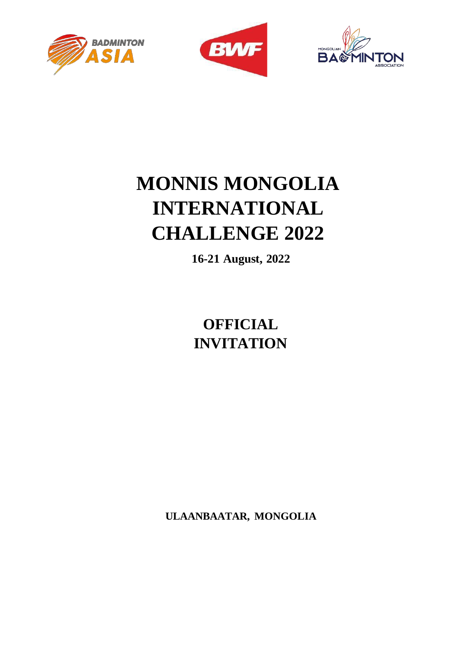





## **MONNIS MONGOLIA INTERNATIONAL CHALLENGE 2022**

**16-21 August, 2022**

**OFFICIAL INVITATION**

**ULAANBAATAR, MONGOLIA**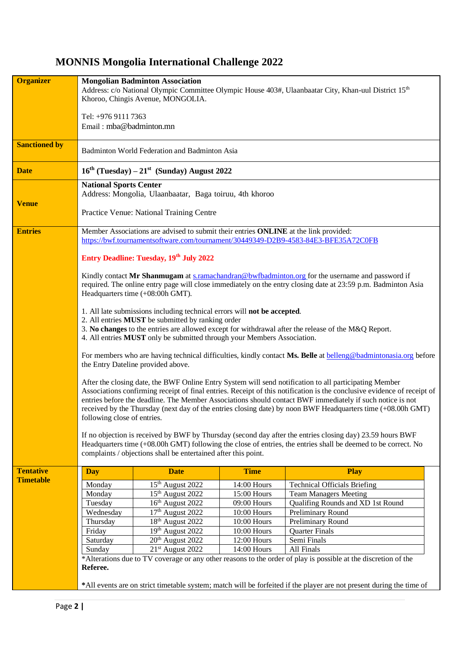## **MONNIS Mongolia International Challenge 2022**

| <b>Organizer</b>     | <b>Mongolian Badminton Association</b><br>Address: c/o National Olympic Committee Olympic House 403#, Ulaanbaatar City, Khan-uul District 15 <sup>th</sup><br>Khoroo, Chingis Avenue, MONGOLIA.<br>Tel: +976 9111 7363<br>Email: mba@badminton.mn                                                                                                                                                                                                                                                                                                                                                                                                                                                                                                                                              |                                                     |                            |                                     |  |  |  |
|----------------------|------------------------------------------------------------------------------------------------------------------------------------------------------------------------------------------------------------------------------------------------------------------------------------------------------------------------------------------------------------------------------------------------------------------------------------------------------------------------------------------------------------------------------------------------------------------------------------------------------------------------------------------------------------------------------------------------------------------------------------------------------------------------------------------------|-----------------------------------------------------|----------------------------|-------------------------------------|--|--|--|
| <b>Sanctioned by</b> | Badminton World Federation and Badminton Asia                                                                                                                                                                                                                                                                                                                                                                                                                                                                                                                                                                                                                                                                                                                                                  |                                                     |                            |                                     |  |  |  |
| <b>Date</b>          |                                                                                                                                                                                                                                                                                                                                                                                                                                                                                                                                                                                                                                                                                                                                                                                                | $16^{th}$ (Tuesday) $-21^{st}$ (Sunday) August 2022 |                            |                                     |  |  |  |
| <b>Venue</b>         | <b>National Sports Center</b><br>Address: Mongolia, Ulaanbaatar, Baga toiruu, 4th khoroo<br>Practice Venue: National Training Centre                                                                                                                                                                                                                                                                                                                                                                                                                                                                                                                                                                                                                                                           |                                                     |                            |                                     |  |  |  |
| <b>Entries</b>       | Member Associations are advised to submit their entries ONLINE at the link provided:<br>https://bwf.tournamentsoftware.com/tournament/30449349-D2B9-4583-84E3-BFE35A72C0FB                                                                                                                                                                                                                                                                                                                                                                                                                                                                                                                                                                                                                     |                                                     |                            |                                     |  |  |  |
|                      |                                                                                                                                                                                                                                                                                                                                                                                                                                                                                                                                                                                                                                                                                                                                                                                                |                                                     |                            |                                     |  |  |  |
|                      | Entry Deadline: Tuesday, 19th July 2022<br>Kindly contact Mr Shanmugam at s.ramachandran@bwfbadminton.org for the username and password if<br>required. The online entry page will close immediately on the entry closing date at 23:59 p.m. Badminton Asia<br>Headquarters time (+08:00h GMT).                                                                                                                                                                                                                                                                                                                                                                                                                                                                                                |                                                     |                            |                                     |  |  |  |
|                      | 1. All late submissions including technical errors will not be accepted.<br>2. All entries MUST be submitted by ranking order<br>3. No changes to the entries are allowed except for withdrawal after the release of the M&Q Report.<br>4. All entries MUST only be submitted through your Members Association.                                                                                                                                                                                                                                                                                                                                                                                                                                                                                |                                                     |                            |                                     |  |  |  |
|                      | For members who are having technical difficulties, kindly contact Ms. Belle at belleng@badmintonasia.org before<br>the Entry Dateline provided above.                                                                                                                                                                                                                                                                                                                                                                                                                                                                                                                                                                                                                                          |                                                     |                            |                                     |  |  |  |
|                      | After the closing date, the BWF Online Entry System will send notification to all participating Member<br>Associations confirming receipt of final entries. Receipt of this notification is the conclusive evidence of receipt of<br>entries before the deadline. The Member Associations should contact BWF immediately if such notice is not<br>received by the Thursday (next day of the entries closing date) by noon BWF Headquarters time (+08.00h GMT)<br>following close of entries.<br>If no objection is received by BWF by Thursday (second day after the entries closing day) 23.59 hours BWF<br>Headquarters time $(+08.00h$ GMT) following the close of entries, the entries shall be deemed to be correct. No<br>complaints / objections shall be entertained after this point. |                                                     |                            |                                     |  |  |  |
| <b>Tentative</b>     | <b>Day</b>                                                                                                                                                                                                                                                                                                                                                                                                                                                                                                                                                                                                                                                                                                                                                                                     | <b>Date</b>                                         | <b>Time</b>                | <b>Play</b>                         |  |  |  |
| <b>Timetable</b>     | Monday                                                                                                                                                                                                                                                                                                                                                                                                                                                                                                                                                                                                                                                                                                                                                                                         | 15 <sup>th</sup> August 2022                        | 14:00 Hours                | <b>Technical Officials Briefing</b> |  |  |  |
|                      | Monday                                                                                                                                                                                                                                                                                                                                                                                                                                                                                                                                                                                                                                                                                                                                                                                         | 15 <sup>th</sup> August 2022                        | 15:00 Hours                | <b>Team Managers Meeting</b>        |  |  |  |
|                      | Tuesday                                                                                                                                                                                                                                                                                                                                                                                                                                                                                                                                                                                                                                                                                                                                                                                        | 16 <sup>th</sup> August 2022                        | 09:00 Hours                | Qualifing Rounds and XD 1st Round   |  |  |  |
|                      | Wednesday                                                                                                                                                                                                                                                                                                                                                                                                                                                                                                                                                                                                                                                                                                                                                                                      | 17th August 2022                                    | 10:00 Hours                | Preliminary Round                   |  |  |  |
|                      | Thursday                                                                                                                                                                                                                                                                                                                                                                                                                                                                                                                                                                                                                                                                                                                                                                                       | 18 <sup>th</sup> August 2022                        | 10:00 Hours                | Preliminary Round                   |  |  |  |
|                      | Friday                                                                                                                                                                                                                                                                                                                                                                                                                                                                                                                                                                                                                                                                                                                                                                                         | 19th August 2022                                    | 10:00 Hours                | <b>Quarter Finals</b>               |  |  |  |
|                      | Saturday<br>Sunday                                                                                                                                                                                                                                                                                                                                                                                                                                                                                                                                                                                                                                                                                                                                                                             | $20th$ August 2022<br>21 <sup>st</sup> August 2022  | 12:00 Hours<br>14:00 Hours | Semi Finals<br>All Finals           |  |  |  |
|                      | *Alterations due to TV coverage or any other reasons to the order of play is possible at the discretion of the<br>Referee.                                                                                                                                                                                                                                                                                                                                                                                                                                                                                                                                                                                                                                                                     |                                                     |                            |                                     |  |  |  |
|                      | *All events are on strict timetable system; match will be forfeited if the player are not present during the time of                                                                                                                                                                                                                                                                                                                                                                                                                                                                                                                                                                                                                                                                           |                                                     |                            |                                     |  |  |  |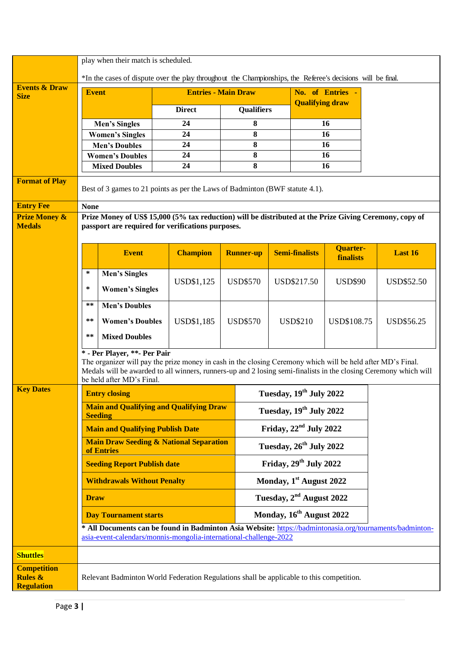|                                                               | play when their match is scheduled.<br>*In the cases of dispute over the play throughout the Championships, the Referee's decisions will be final.                                                                                                                                           |                                                                                                                                                                               |  |                     |                  |                                      |                                     |                          |                                     |  |                   |
|---------------------------------------------------------------|----------------------------------------------------------------------------------------------------------------------------------------------------------------------------------------------------------------------------------------------------------------------------------------------|-------------------------------------------------------------------------------------------------------------------------------------------------------------------------------|--|---------------------|------------------|--------------------------------------|-------------------------------------|--------------------------|-------------------------------------|--|-------------------|
| <b>Events &amp; Draw</b>                                      | <b>Event</b><br><b>Entries - Main Draw</b>                                                                                                                                                                                                                                                   |                                                                                                                                                                               |  |                     | No. of Entries - |                                      |                                     |                          |                                     |  |                   |
| <b>Size</b>                                                   |                                                                                                                                                                                                                                                                                              |                                                                                                                                                                               |  |                     |                  |                                      |                                     | <b>Qualifying draw</b>   |                                     |  |                   |
|                                                               |                                                                                                                                                                                                                                                                                              |                                                                                                                                                                               |  | <b>Direct</b><br>24 |                  | <b>Qualifiers</b><br>8               |                                     | 16                       |                                     |  |                   |
|                                                               |                                                                                                                                                                                                                                                                                              | <b>Men's Singles</b><br><b>Women's Singles</b>                                                                                                                                |  | 24                  |                  | 8                                    |                                     | 16                       |                                     |  |                   |
|                                                               |                                                                                                                                                                                                                                                                                              | <b>Men's Doubles</b>                                                                                                                                                          |  | 24                  | 8                |                                      |                                     |                          | 16                                  |  |                   |
|                                                               |                                                                                                                                                                                                                                                                                              | <b>Women's Doubles</b>                                                                                                                                                        |  | 24                  |                  | 8                                    |                                     |                          | 16                                  |  |                   |
|                                                               |                                                                                                                                                                                                                                                                                              | <b>Mixed Doubles</b>                                                                                                                                                          |  | 24                  |                  | 8                                    |                                     | 16                       |                                     |  |                   |
| <b>Format of Play</b>                                         | Best of 3 games to 21 points as per the Laws of Badminton (BWF statute 4.1).                                                                                                                                                                                                                 |                                                                                                                                                                               |  |                     |                  |                                      |                                     |                          |                                     |  |                   |
| <b>Entry Fee</b>                                              | <b>None</b>                                                                                                                                                                                                                                                                                  |                                                                                                                                                                               |  |                     |                  |                                      |                                     |                          |                                     |  |                   |
| <b>Prize Money &amp;</b><br><b>Medals</b>                     |                                                                                                                                                                                                                                                                                              | Prize Money of US\$ 15,000 (5% tax reduction) will be distributed at the Prize Giving Ceremony, copy of<br>passport are required for verifications purposes.                  |  |                     |                  |                                      |                                     |                          |                                     |  |                   |
|                                                               |                                                                                                                                                                                                                                                                                              | <b>Event</b>                                                                                                                                                                  |  | <b>Champion</b>     |                  | <b>Runner-up</b>                     |                                     | <b>Semi-finalists</b>    | <b>Quarter-</b><br><b>finalists</b> |  | Last 16           |
|                                                               | $\ast$                                                                                                                                                                                                                                                                                       | <b>Men's Singles</b>                                                                                                                                                          |  |                     |                  |                                      |                                     |                          |                                     |  |                   |
|                                                               | $\ast$                                                                                                                                                                                                                                                                                       | <b>Women's Singles</b>                                                                                                                                                        |  | USD\$1,125          |                  | <b>USD\$570</b>                      | USD\$217.50                         |                          | <b>USD\$90</b>                      |  | <b>USD\$52.50</b> |
|                                                               | $***$                                                                                                                                                                                                                                                                                        | <b>Men's Doubles</b>                                                                                                                                                          |  |                     |                  |                                      |                                     |                          |                                     |  |                   |
|                                                               | $***$                                                                                                                                                                                                                                                                                        | <b>Women's Doubles</b>                                                                                                                                                        |  | <b>USD\$1,185</b>   | <b>USD\$570</b>  |                                      | <b>USD\$210</b>                     |                          | USD\$108.75                         |  | USD\$56.25        |
|                                                               | **                                                                                                                                                                                                                                                                                           | <b>Mixed Doubles</b>                                                                                                                                                          |  |                     |                  |                                      |                                     |                          |                                     |  |                   |
|                                                               | * - Per Player, **- Per Pair<br>The organizer will pay the prize money in cash in the closing Ceremony which will be held after MD's Final.<br>Medals will be awarded to all winners, runners-up and 2 losing semi-finalists in the closing Ceremony which will<br>be held after MD's Final. |                                                                                                                                                                               |  |                     |                  |                                      |                                     |                          |                                     |  |                   |
| <b>Key Dates</b>                                              | Tuesday, 19 <sup>th</sup> July 2022<br><b>Entry closing</b>                                                                                                                                                                                                                                  |                                                                                                                                                                               |  |                     |                  |                                      |                                     |                          |                                     |  |                   |
|                                                               | <b>Main and Qualifying and Qualifying Draw</b><br>Tuesday, 19 <sup>th</sup> July 2022<br><b>Seeding</b>                                                                                                                                                                                      |                                                                                                                                                                               |  |                     |                  |                                      |                                     |                          |                                     |  |                   |
|                                                               |                                                                                                                                                                                                                                                                                              | <b>Main and Qualifying Publish Date</b>                                                                                                                                       |  |                     |                  |                                      |                                     | Friday, $22nd$ July 2022 |                                     |  |                   |
|                                                               | <b>Main Draw Seeding &amp; National Separation</b><br>of Entries                                                                                                                                                                                                                             |                                                                                                                                                                               |  |                     |                  |                                      | Tuesday, 26 <sup>th</sup> July 2022 |                          |                                     |  |                   |
|                                                               |                                                                                                                                                                                                                                                                                              | <b>Seeding Report Publish date</b>                                                                                                                                            |  |                     |                  | Friday, 29th July 2022               |                                     |                          |                                     |  |                   |
|                                                               | Monday, 1 <sup>st</sup> August 2022<br><b>Withdrawals Without Penalty</b>                                                                                                                                                                                                                    |                                                                                                                                                                               |  |                     |                  |                                      |                                     |                          |                                     |  |                   |
|                                                               | <b>Draw</b><br><b>Day Tournament starts</b>                                                                                                                                                                                                                                                  |                                                                                                                                                                               |  |                     |                  | Tuesday, 2 <sup>nd</sup> August 2022 |                                     |                          |                                     |  |                   |
|                                                               |                                                                                                                                                                                                                                                                                              |                                                                                                                                                                               |  |                     |                  | Monday, 16 <sup>th</sup> August 2022 |                                     |                          |                                     |  |                   |
|                                                               |                                                                                                                                                                                                                                                                                              | * All Documents can be found in Badminton Asia Website: https://badmintonasia.org/tournaments/badminton-<br>asia-event-calendars/monnis-mongolia-international-challenge-2022 |  |                     |                  |                                      |                                     |                          |                                     |  |                   |
| <b>Shuttles</b>                                               |                                                                                                                                                                                                                                                                                              |                                                                                                                                                                               |  |                     |                  |                                      |                                     |                          |                                     |  |                   |
| <b>Competition</b><br><b>Rules &amp;</b><br><b>Regulation</b> |                                                                                                                                                                                                                                                                                              | Relevant Badminton World Federation Regulations shall be applicable to this competition.                                                                                      |  |                     |                  |                                      |                                     |                          |                                     |  |                   |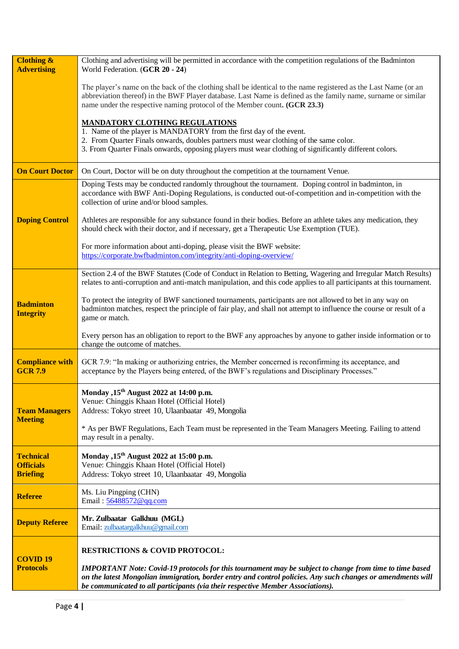| <b>Clothing &amp;</b><br><b>Advertising</b>             | Clothing and advertising will be permitted in accordance with the competition regulations of the Badminton<br>World Federation. (GCR 20 - 24)                                                                                                                                                                    |  |  |  |  |  |
|---------------------------------------------------------|------------------------------------------------------------------------------------------------------------------------------------------------------------------------------------------------------------------------------------------------------------------------------------------------------------------|--|--|--|--|--|
|                                                         | The player's name on the back of the clothing shall be identical to the name registered as the Last Name (or an<br>abbreviation thereof) in the BWF Player database. Last Name is defined as the family name, surname or similar<br>name under the respective naming protocol of the Member count. (GCR 23.3)    |  |  |  |  |  |
|                                                         | <b>MANDATORY CLOTHING REGULATIONS</b>                                                                                                                                                                                                                                                                            |  |  |  |  |  |
|                                                         | 1. Name of the player is MANDATORY from the first day of the event.<br>2. From Quarter Finals onwards, doubles partners must wear clothing of the same color.<br>3. From Quarter Finals onwards, opposing players must wear clothing of significantly different colors.                                          |  |  |  |  |  |
| <b>On Court Doctor</b>                                  | On Court, Doctor will be on duty throughout the competition at the tournament Venue.                                                                                                                                                                                                                             |  |  |  |  |  |
|                                                         | Doping Tests may be conducted randomly throughout the tournament. Doping control in badminton, in<br>accordance with BWF Anti-Doping Regulations, is conducted out-of-competition and in-competition with the<br>collection of urine and/or blood samples.                                                       |  |  |  |  |  |
| <b>Doping Control</b>                                   | Athletes are responsible for any substance found in their bodies. Before an athlete takes any medication, they<br>should check with their doctor, and if necessary, get a Therapeutic Use Exemption (TUE).                                                                                                       |  |  |  |  |  |
|                                                         | For more information about anti-doping, please visit the BWF website:<br>https://corporate.bwfbadminton.com/integrity/anti-doping-overview/                                                                                                                                                                      |  |  |  |  |  |
|                                                         | Section 2.4 of the BWF Statutes (Code of Conduct in Relation to Betting, Wagering and Irregular Match Results)<br>relates to anti-corruption and anti-match manipulation, and this code applies to all participants at this tournament.                                                                          |  |  |  |  |  |
| <b>Badminton</b><br><b>Integrity</b>                    | To protect the integrity of BWF sanctioned tournaments, participants are not allowed to bet in any way on<br>badminton matches, respect the principle of fair play, and shall not attempt to influence the course or result of a<br>game or match.                                                               |  |  |  |  |  |
|                                                         | Every person has an obligation to report to the BWF any approaches by anyone to gather inside information or to<br>change the outcome of matches.                                                                                                                                                                |  |  |  |  |  |
| <b>Compliance with</b><br><b>GCR 7.9</b>                | GCR 7.9: "In making or authorizing entries, the Member concerned is reconfirming its acceptance, and<br>acceptance by the Players being entered, of the BWF's regulations and Disciplinary Processes."                                                                                                           |  |  |  |  |  |
| <b>Team Managers</b><br><b>Meeting</b>                  | Monday , 15 <sup>th</sup> August 2022 at 14:00 p.m.<br>Venue: Chinggis Khaan Hotel (Official Hotel)<br>Address: Tokyo street 10, Ulaanbaatar 49, Mongolia                                                                                                                                                        |  |  |  |  |  |
|                                                         | * As per BWF Regulations, Each Team must be represented in the Team Managers Meeting. Failing to attend<br>may result in a penalty.                                                                                                                                                                              |  |  |  |  |  |
| <b>Technical</b><br><b>Officials</b><br><b>Briefing</b> | Monday , 15 <sup>th</sup> August 2022 at 15:00 p.m.<br>Venue: Chinggis Khaan Hotel (Official Hotel)<br>Address: Tokyo street 10, Ulaanbaatar 49, Mongolia                                                                                                                                                        |  |  |  |  |  |
| <b>Referee</b>                                          | Ms. Liu Pingping (CHN)<br>Email: 56488572@qq.com                                                                                                                                                                                                                                                                 |  |  |  |  |  |
| <b>Deputy Referee</b>                                   | Mr. Zulbaatar Galkhuu (MGL)<br>Email: zulbaatargalkhuu@gmail.com                                                                                                                                                                                                                                                 |  |  |  |  |  |
|                                                         | <b>RESTRICTIONS &amp; COVID PROTOCOL:</b>                                                                                                                                                                                                                                                                        |  |  |  |  |  |
| <b>COVID 19</b><br><b>Protocols</b>                     | <b>IMPORTANT</b> Note: Covid-19 protocols for this tournament may be subject to change from time to time based<br>on the latest Mongolian immigration, border entry and control policies. Any such changes or amendments will<br>be communicated to all participants (via their respective Member Associations). |  |  |  |  |  |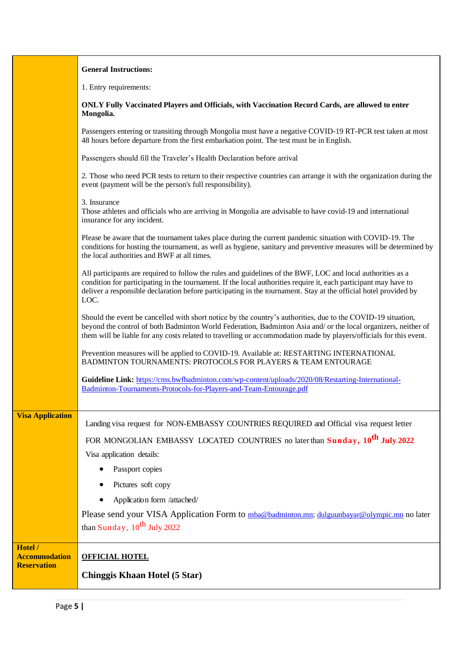|                                            | <b>General Instructions:</b>                                                                                                                                                                                                                                                                                                                                |  |  |  |  |
|--------------------------------------------|-------------------------------------------------------------------------------------------------------------------------------------------------------------------------------------------------------------------------------------------------------------------------------------------------------------------------------------------------------------|--|--|--|--|
|                                            | 1. Entry requirements:                                                                                                                                                                                                                                                                                                                                      |  |  |  |  |
|                                            | ONLY Fully Vaccinated Players and Officials, with Vaccination Record Cards, are allowed to enter<br>Mongolia.                                                                                                                                                                                                                                               |  |  |  |  |
|                                            | Passengers entering or transiting through Mongolia must have a negative COVID-19 RT-PCR test taken at most<br>48 hours before departure from the first embarkation point. The test must be in English.                                                                                                                                                      |  |  |  |  |
|                                            | Passengers should fill the Traveler's Health Declaration before arrival                                                                                                                                                                                                                                                                                     |  |  |  |  |
|                                            | 2. Those who need PCR tests to return to their respective countries can arrange it with the organization during the<br>event (payment will be the person's full responsibility).                                                                                                                                                                            |  |  |  |  |
|                                            | 3. Insurance<br>Those athletes and officials who are arriving in Mongolia are advisable to have covid-19 and international<br>insurance for any incident.                                                                                                                                                                                                   |  |  |  |  |
|                                            | Please be aware that the tournament takes place during the current pandemic situation with COVID-19. The<br>conditions for hosting the tournament, as well as hygiene, sanitary and preventive measures will be determined by<br>the local authorities and BWF at all times.                                                                                |  |  |  |  |
|                                            | All participants are required to follow the rules and guidelines of the BWF, LOC and local authorities as a<br>condition for participating in the tournament. If the local authorities require it, each participant may have to<br>deliver a responsible declaration before participating in the tournament. Stay at the official hotel provided by<br>LOC. |  |  |  |  |
|                                            | Should the event be cancelled with short notice by the country's authorities, due to the COVID-19 situation,<br>beyond the control of both Badminton World Federation, Badminton Asia and/ or the local organizers, neither of<br>them will be liable for any costs related to travelling or accommodation made by players/officials for this event.        |  |  |  |  |
|                                            | Prevention measures will be applied to COVID-19. Available at: RESTARTING INTERNATIONAL<br>BADMINTON TOURNAMENTS: PROTOCOLS FOR PLAYERS & TEAM ENTOURAGE                                                                                                                                                                                                    |  |  |  |  |
|                                            | Guideline Link: https://cms.bwfbadminton.com/wp-content/uploads/2020/08/Restarting-International-<br>Badminton-Tournaments-Protocols-for-Players-and-Team-Entourage.pdf                                                                                                                                                                                     |  |  |  |  |
| <b>Visa Application</b>                    | Landing visa request for NON-EMBASSY COUNTRIES REQUIRED and Official visa request letter                                                                                                                                                                                                                                                                    |  |  |  |  |
|                                            | FOR MONGOLIAN EMBASSY LOCATED COUNTRIES no later than Sunday, 10 <sup>th</sup> July 2022                                                                                                                                                                                                                                                                    |  |  |  |  |
|                                            | Visa application details:                                                                                                                                                                                                                                                                                                                                   |  |  |  |  |
|                                            | Passport copies                                                                                                                                                                                                                                                                                                                                             |  |  |  |  |
|                                            | Pictures soft copy                                                                                                                                                                                                                                                                                                                                          |  |  |  |  |
|                                            | Application form /attached/                                                                                                                                                                                                                                                                                                                                 |  |  |  |  |
|                                            | Please send your VISA Application Form to mba@badminton.mn; dulguunbayar@olympic.mn no later<br>than Sunday, 10 <sup>th</sup> July 2022                                                                                                                                                                                                                     |  |  |  |  |
| Hotel /                                    |                                                                                                                                                                                                                                                                                                                                                             |  |  |  |  |
| <b>Accommodation</b><br><b>Reservation</b> | <b>OFFICIAL HOTEL</b>                                                                                                                                                                                                                                                                                                                                       |  |  |  |  |
|                                            | <b>Chinggis Khaan Hotel (5 Star)</b>                                                                                                                                                                                                                                                                                                                        |  |  |  |  |

Ē

 $\mathbf{r}$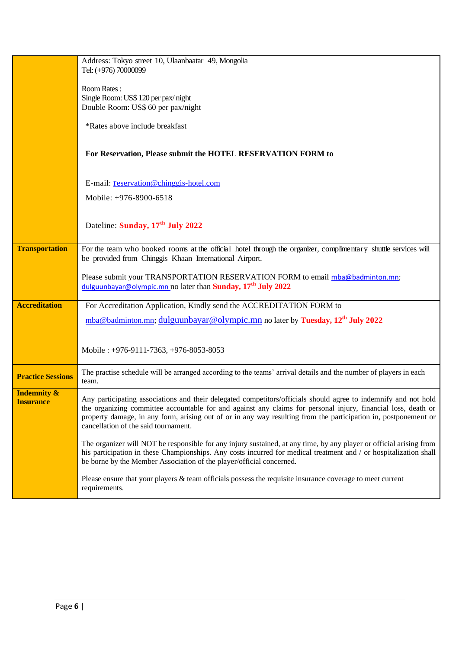|                          | Address: Tokyo street 10, Ulaanbaatar 49, Mongolia<br>Tel: (+976) 70000099                                                                                                                                                                                                                                       |  |  |  |  |  |
|--------------------------|------------------------------------------------------------------------------------------------------------------------------------------------------------------------------------------------------------------------------------------------------------------------------------------------------------------|--|--|--|--|--|
|                          | Room Rates:<br>Single Room: US\$ 120 per pax/night<br>Double Room: US\$ 60 per pax/night                                                                                                                                                                                                                         |  |  |  |  |  |
|                          | *Rates above include breakfast                                                                                                                                                                                                                                                                                   |  |  |  |  |  |
|                          | For Reservation, Please submit the HOTEL RESERVATION FORM to                                                                                                                                                                                                                                                     |  |  |  |  |  |
|                          | E-mail: reservation@chinggis-hotel.com                                                                                                                                                                                                                                                                           |  |  |  |  |  |
|                          | Mobile: +976-8900-6518                                                                                                                                                                                                                                                                                           |  |  |  |  |  |
|                          |                                                                                                                                                                                                                                                                                                                  |  |  |  |  |  |
|                          | Dateline: Sunday, 17 <sup>th</sup> July 2022                                                                                                                                                                                                                                                                     |  |  |  |  |  |
| <b>Transportation</b>    |                                                                                                                                                                                                                                                                                                                  |  |  |  |  |  |
|                          | For the team who booked rooms at the official hotel through the organizer, complimentary shuttle services will<br>be provided from Chinggis Khaan International Airport.                                                                                                                                         |  |  |  |  |  |
|                          | Please submit your TRANSPORTATION RESERVATION FORM to email mba@badminton.mn;<br>dulguunbayar@olympic.mn no later than Sunday, 17 <sup>th</sup> July 2022                                                                                                                                                        |  |  |  |  |  |
| <b>Accreditation</b>     | For Accreditation Application, Kindly send the ACCREDITATION FORM to                                                                                                                                                                                                                                             |  |  |  |  |  |
|                          | mba@badminton.mn; dulguunbayar@olympic.mn no later by Tuesday, 12 <sup>th</sup> July 2022                                                                                                                                                                                                                        |  |  |  |  |  |
|                          |                                                                                                                                                                                                                                                                                                                  |  |  |  |  |  |
|                          | Mobile: +976-9111-7363, +976-8053-8053                                                                                                                                                                                                                                                                           |  |  |  |  |  |
| <b>Practice Sessions</b> | The practise schedule will be arranged according to the teams' arrival details and the number of players in each<br>team.                                                                                                                                                                                        |  |  |  |  |  |
| <b>Indemnity &amp;</b>   | Any participating associations and their delegated competitors/officials should agree to indemnify and not hold                                                                                                                                                                                                  |  |  |  |  |  |
| <b>Insurance</b>         | the organizing committee accountable for and against any claims for personal injury, financial loss, death or<br>property damage, in any form, arising out of or in any way resulting from the participation in, postponement or<br>cancellation of the said tournament.                                         |  |  |  |  |  |
|                          | The organizer will NOT be responsible for any injury sustained, at any time, by any player or official arising from<br>his participation in these Championships. Any costs incurred for medical treatment and / or hospitalization shall<br>be borne by the Member Association of the player/official concerned. |  |  |  |  |  |
|                          | Please ensure that your players & team officials possess the requisite insurance coverage to meet current<br>requirements.                                                                                                                                                                                       |  |  |  |  |  |